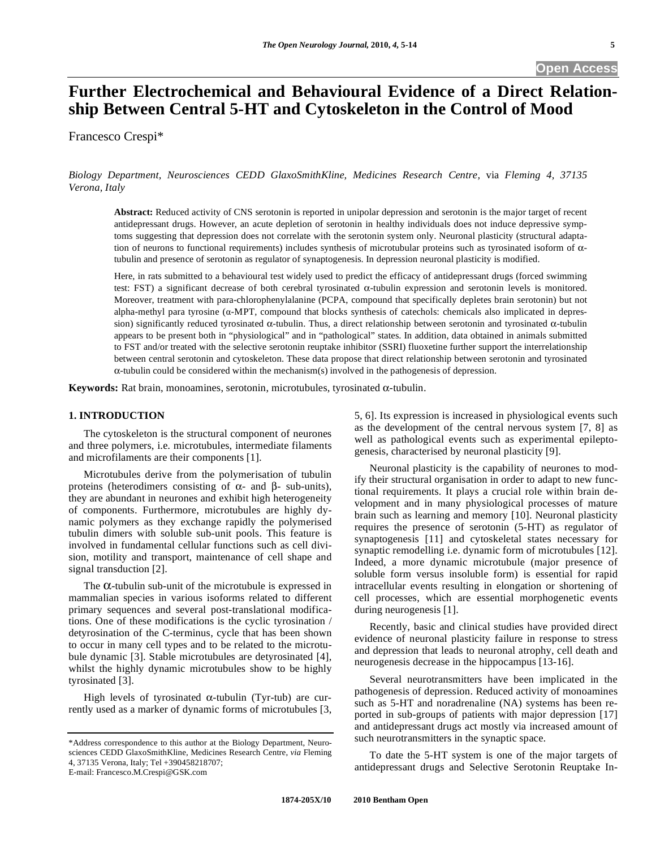**Open Access** 

# **Further Electrochemical and Behavioural Evidence of a Direct Relationship Between Central 5-HT and Cytoskeleton in the Control of Mood**

Francesco Crespi\*

*Biology Department, Neurosciences CEDD GlaxoSmithKline, Medicines Research Centre,* via *Fleming 4, 37135 Verona, Italy* 

**Abstract:** Reduced activity of CNS serotonin is reported in unipolar depression and serotonin is the major target of recent antidepressant drugs. However, an acute depletion of serotonin in healthy individuals does not induce depressive symptoms suggesting that depression does not correlate with the serotonin system only. Neuronal plasticity (structural adaptation of neurons to functional requirements) includes synthesis of microtubular proteins such as tyrosinated isoform of  $\alpha$ tubulin and presence of serotonin as regulator of synaptogenesis. In depression neuronal plasticity is modified.

Here, in rats submitted to a behavioural test widely used to predict the efficacy of antidepressant drugs (forced swimming test: FST) a significant decrease of both cerebral tyrosinated  $\alpha$ -tubulin expression and serotonin levels is monitored. Moreover, treatment with para-chlorophenylalanine (PCPA, compound that specifically depletes brain serotonin) but not alpha-methyl para tyrosine  $(\alpha$ -MPT, compound that blocks synthesis of catechols: chemicals also implicated in depression) significantly reduced tyrosinated  $\alpha$ -tubulin. Thus, a direct relationship between serotonin and tyrosinated  $\alpha$ -tubulin appears to be present both in "physiological" and in "pathological" states. In addition, data obtained in animals submitted to FST and/or treated with the selective serotonin reuptake inhibitor (SSRI) fluoxetine further support the interrelationship between central serotonin and cytoskeleton. These data propose that direct relationship between serotonin and tyrosinated  $\alpha$ -tubulin could be considered within the mechanism(s) involved in the pathogenesis of depression.

**Keywords:** Rat brain, monoamines, serotonin, microtubules, tyrosinated  $\alpha$ -tubulin.

# **1. INTRODUCTION**

 The cytoskeleton is the structural component of neurones and three polymers, i.e. microtubules, intermediate filaments and microfilaments are their components [1].

 Microtubules derive from the polymerisation of tubulin proteins (heterodimers consisting of  $\alpha$ - and  $\beta$ - sub-units), they are abundant in neurones and exhibit high heterogeneity of components. Furthermore, microtubules are highly dynamic polymers as they exchange rapidly the polymerised tubulin dimers with soluble sub-unit pools. This feature is involved in fundamental cellular functions such as cell division, motility and transport, maintenance of cell shape and signal transduction [2].

The  $\alpha$ -tubulin sub-unit of the microtubule is expressed in mammalian species in various isoforms related to different primary sequences and several post-translational modifications. One of these modifications is the cyclic tyrosination / detyrosination of the C-terminus, cycle that has been shown to occur in many cell types and to be related to the microtubule dynamic [3]. Stable microtubules are detyrosinated [4], whilst the highly dynamic microtubules show to be highly tyrosinated [3].

High levels of tyrosinated  $\alpha$ -tubulin (Tyr-tub) are currently used as a marker of dynamic forms of microtubules [3,

E-mail: Francesco.M.Crespi@GSK.com

5, 6]. Its expression is increased in physiological events such as the development of the central nervous system [7, 8] as well as pathological events such as experimental epileptogenesis, characterised by neuronal plasticity [9].

 Neuronal plasticity is the capability of neurones to modify their structural organisation in order to adapt to new functional requirements. It plays a crucial role within brain development and in many physiological processes of mature brain such as learning and memory [10]. Neuronal plasticity requires the presence of serotonin (5-HT) as regulator of synaptogenesis [11] and cytoskeletal states necessary for synaptic remodelling i.e. dynamic form of microtubules [12]. Indeed, a more dynamic microtubule (major presence of soluble form versus insoluble form) is essential for rapid intracellular events resulting in elongation or shortening of cell processes, which are essential morphogenetic events during neurogenesis [1].

 Recently, basic and clinical studies have provided direct evidence of neuronal plasticity failure in response to stress and depression that leads to neuronal atrophy, cell death and neurogenesis decrease in the hippocampus [13-16].

 Several neurotransmitters have been implicated in the pathogenesis of depression. Reduced activity of monoamines such as 5-HT and noradrenaline (NA) systems has been reported in sub-groups of patients with major depression [17] and antidepressant drugs act mostly via increased amount of such neurotransmitters in the synaptic space.

 To date the 5-HT system is one of the major targets of antidepressant drugs and Selective Serotonin Reuptake In-

<sup>\*</sup>Address correspondence to this author at the Biology Department, Neurosciences CEDD GlaxoSmithKline, Medicines Research Centre, *via* Fleming 4, 37135 Verona, Italy; Tel +390458218707;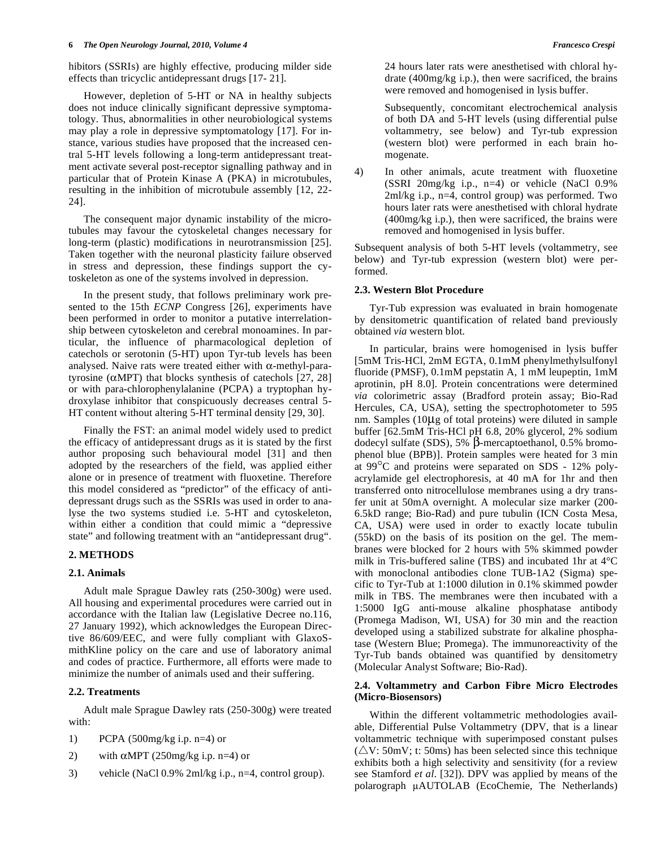hibitors (SSRIs) are highly effective, producing milder side effects than tricyclic antidepressant drugs [17- 21].

 However, depletion of 5-HT or NA in healthy subjects does not induce clinically significant depressive symptomatology. Thus, abnormalities in other neurobiological systems may play a role in depressive symptomatology [17]. For instance, various studies have proposed that the increased central 5-HT levels following a long-term antidepressant treatment activate several post-receptor signalling pathway and in particular that of Protein Kinase A (PKA) in microtubules, resulting in the inhibition of microtubule assembly [12, 22- 24].

 The consequent major dynamic instability of the microtubules may favour the cytoskeletal changes necessary for long-term (plastic) modifications in neurotransmission [25]. Taken together with the neuronal plasticity failure observed in stress and depression, these findings support the cytoskeleton as one of the systems involved in depression.

 In the present study, that follows preliminary work presented to the 15th *ECNP* Congress [26], experiments have been performed in order to monitor a putative interrelationship between cytoskeleton and cerebral monoamines. In particular, the influence of pharmacological depletion of catechols or serotonin (5-HT) upon Tyr-tub levels has been analysed. Naive rats were treated either with  $\alpha$ -methyl-paratyrosine ( $\alpha$ MPT) that blocks synthesis of catechols [27, 28] or with para-chlorophenylalanine (PCPA) a tryptophan hydroxylase inhibitor that conspicuously decreases central 5- HT content without altering 5-HT terminal density [29, 30].

 Finally the FST: an animal model widely used to predict the efficacy of antidepressant drugs as it is stated by the first author proposing such behavioural model [31] and then adopted by the researchers of the field, was applied either alone or in presence of treatment with fluoxetine. Therefore this model considered as "predictor" of the efficacy of antidepressant drugs such as the SSRIs was used in order to analyse the two systems studied i.e. 5-HT and cytoskeleton, within either a condition that could mimic a "depressive state" and following treatment with an "antidepressant drug".

# **2. METHODS**

# **2.1. Animals**

 Adult male Sprague Dawley rats (250-300g) were used. All housing and experimental procedures were carried out in accordance with the Italian law (Legislative Decree no.116, 27 January 1992), which acknowledges the European Directive 86/609/EEC, and were fully compliant with GlaxoSmithKline policy on the care and use of laboratory animal and codes of practice. Furthermore, all efforts were made to minimize the number of animals used and their suffering.

# **2.2. Treatments**

 Adult male Sprague Dawley rats (250-300g) were treated with:

- 1) PCPA (500mg/kg i.p. n=4) or
- 2) with  $\alpha$ MPT (250mg/kg i.p. n=4) or
- 3) vehicle (NaCl 0.9% 2ml/kg i.p., n=4, control group).

 24 hours later rats were anesthetised with chloral hydrate (400mg/kg i.p.), then were sacrificed, the brains were removed and homogenised in lysis buffer.

 Subsequently, concomitant electrochemical analysis of both DA and 5-HT levels (using differential pulse voltammetry, see below) and Tyr-tub expression (western blot) were performed in each brain homogenate.

4) In other animals, acute treatment with fluoxetine (SSRI 20mg/kg i.p., n=4) or vehicle (NaCl 0.9% 2ml/kg i.p., n=4, control group) was performed. Two hours later rats were anesthetised with chloral hydrate (400mg/kg i.p.), then were sacrificed, the brains were removed and homogenised in lysis buffer.

Subsequent analysis of both 5-HT levels (voltammetry, see below) and Tyr-tub expression (western blot) were performed.

# **2.3. Western Blot Procedure**

 Tyr-Tub expression was evaluated in brain homogenate by densitometric quantification of related band previously obtained *via* western blot.

 In particular, brains were homogenised in lysis buffer [5mM Tris-HCl, 2mM EGTA, 0.1mM phenylmethylsulfonyl fluoride (PMSF), 0.1mM pepstatin A, 1 mM leupeptin, 1mM aprotinin, pH 8.0]. Protein concentrations were determined *via* colorimetric assay (Bradford protein assay; Bio-Rad Hercules, CA, USA), setting the spectrophotometer to 595 nm. Samples (10μg of total proteins) were diluted in sample buffer [62.5mM Tris-HCl pH 6.8, 20% glycerol, 2% sodium dodecyl sulfate (SDS),  $5\%$   $\beta$ -mercaptoethanol, 0.5% bromophenol blue (BPB)]. Protein samples were heated for 3 min at 99°C and proteins were separated on SDS - 12% polyacrylamide gel electrophoresis, at 40 mA for 1hr and then transferred onto nitrocellulose membranes using a dry transfer unit at 50mA overnight. A molecular size marker (200- 6.5kD range; Bio-Rad) and pure tubulin (ICN Costa Mesa, CA, USA) were used in order to exactly locate tubulin (55kD) on the basis of its position on the gel. The membranes were blocked for 2 hours with 5% skimmed powder milk in Tris-buffered saline (TBS) and incubated 1hr at 4°C with monoclonal antibodies clone TUB-1A2 (Sigma) specific to Tyr-Tub at 1:1000 dilution in 0.1% skimmed powder milk in TBS. The membranes were then incubated with a 1:5000 IgG anti-mouse alkaline phosphatase antibody (Promega Madison, WI, USA) for 30 min and the reaction developed using a stabilized substrate for alkaline phosphatase (Western Blue; Promega). The immunoreactivity of the Tyr-Tub bands obtained was quantified by densitometry (Molecular Analyst Software; Bio-Rad).

# **2.4. Voltammetry and Carbon Fibre Micro Electrodes (Micro-Biosensors)**

 Within the different voltammetric methodologies available, Differential Pulse Voltammetry (DPV, that is a linear voltammetric technique with superimposed constant pulses  $(\triangle V: 50mV; t: 50ms)$  has been selected since this technique exhibits both a high selectivity and sensitivity (for a review see Stamford *et al*. [32]). DPV was applied by means of the polarograph  $\mu$ AUTOLAB (EcoChemie, The Netherlands)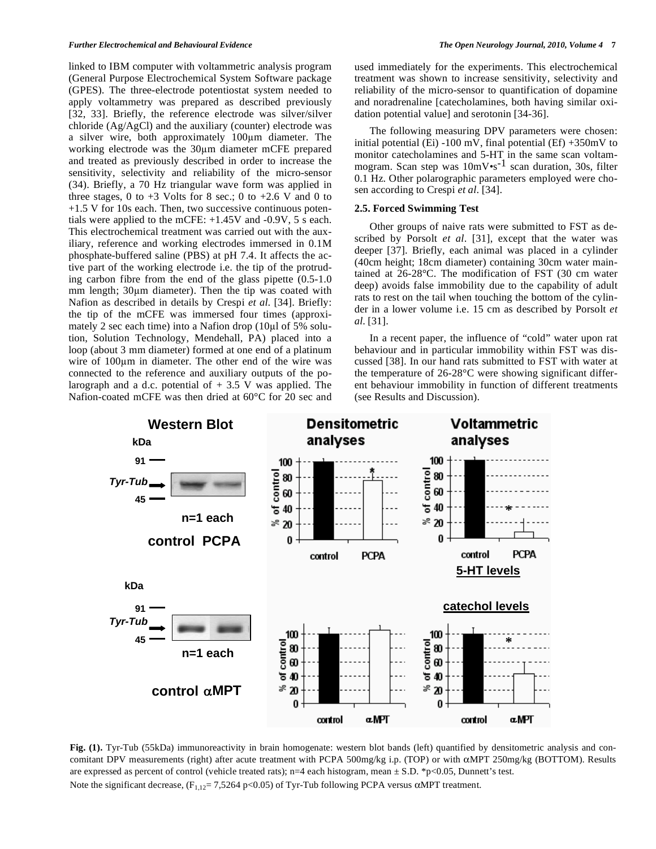linked to IBM computer with voltammetric analysis program (General Purpose Electrochemical System Software package (GPES). The three-electrode potentiostat system needed to apply voltammetry was prepared as described previously [32, 33]. Briefly, the reference electrode was silver/silver chloride (Ag/AgCl) and the auxiliary (counter) electrode was a silver wire, both approximately 100um diameter. The working electrode was the 30 $\mu$ m diameter mCFE prepared and treated as previously described in order to increase the sensitivity, selectivity and reliability of the micro-sensor (34). Briefly, a 70 Hz triangular wave form was applied in three stages, 0 to  $+3$  Volts for 8 sec.; 0 to  $+2.6$  V and 0 to +1.5 V for 10s each. Then, two successive continuous potentials were applied to the mCFE: +1.45V and -0.9V, 5 s each. This electrochemical treatment was carried out with the auxiliary, reference and working electrodes immersed in 0.1M phosphate-buffered saline (PBS) at pH 7.4. It affects the active part of the working electrode i.e. the tip of the protruding carbon fibre from the end of the glass pipette (0.5-1.0 mm length;  $30\mu m$  diameter). Then the tip was coated with Nafion as described in details by Crespi *et al*. [34]. Briefly: the tip of the mCFE was immersed four times (approximately 2 sec each time) into a Nafion drop (10 $\mu$ l of 5% solution, Solution Technology, Mendehall, PA) placed into a loop (about 3 mm diameter) formed at one end of a platinum wire of  $100\mu m$  in diameter. The other end of the wire was connected to the reference and auxiliary outputs of the polarograph and a d.c. potential of  $+3.5$  V was applied. The Nafion-coated mCFE was then dried at 60°C for 20 sec and used immediately for the experiments. This electrochemical treatment was shown to increase sensitivity, selectivity and reliability of the micro-sensor to quantification of dopamine and noradrenaline [catecholamines, both having similar oxidation potential value] and serotonin [34-36].

 The following measuring DPV parameters were chosen: initial potential (Ei) -100 mV, final potential (Ef)  $+350$ mV to monitor catecholamines and 5-HT in the same scan voltammogram. Scan step was  $10 \text{mV} \cdot \text{s}^{-1}$  scan duration, 30s, filter 0.1 Hz. Other polarographic parameters employed were chosen according to Crespi *et al*. [34].

#### **2.5. Forced Swimming Test**

 Other groups of naive rats were submitted to FST as described by Porsolt *et al*. [31], except that the water was deeper [37]. Briefly, each animal was placed in a cylinder (40cm height; 18cm diameter) containing 30cm water maintained at 26-28°C. The modification of FST (30 cm water deep) avoids false immobility due to the capability of adult rats to rest on the tail when touching the bottom of the cylinder in a lower volume i.e. 15 cm as described by Porsolt *et al*. [31].

 In a recent paper, the influence of "cold" water upon rat behaviour and in particular immobility within FST was discussed [38]. In our hand rats submitted to FST with water at the temperature of 26-28°C were showing significant different behaviour immobility in function of different treatments (see Results and Discussion).



**Fig. (1).** Tyr-Tub (55kDa) immunoreactivity in brain homogenate: western blot bands (left) quantified by densitometric analysis and concomitant DPV measurements (right) after acute treatment with PCPA 500mg/kg i.p. (TOP) or with  $\alpha$ MPT 250mg/kg (BOTTOM). Results are expressed as percent of control (vehicle treated rats);  $n=4$  each histogram, mean  $\pm$  S.D. \*p<0.05, Dunnett's test. Note the significant decrease,  $(F_{1,12} = 7,5264 \text{ p} < 0.05)$  of Tyr-Tub following PCPA versus  $\alpha \text{MPT}$  treatment.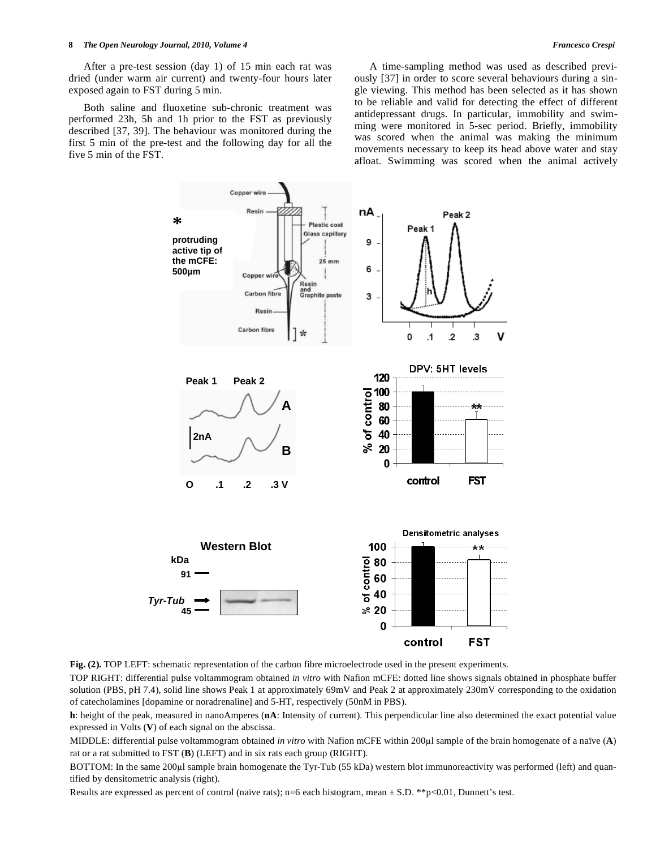After a pre-test session (day 1) of 15 min each rat was dried (under warm air current) and twenty-four hours later exposed again to FST during 5 min.

 Both saline and fluoxetine sub-chronic treatment was performed 23h, 5h and 1h prior to the FST as previously described [37, 39]. The behaviour was monitored during the first 5 min of the pre-test and the following day for all the five 5 min of the FST.

 A time-sampling method was used as described previously [37] in order to score several behaviours during a single viewing. This method has been selected as it has shown to be reliable and valid for detecting the effect of different antidepressant drugs. In particular, immobility and swimming were monitored in 5-sec period. Briefly, immobility was scored when the animal was making the minimum movements necessary to keep its head above water and stay afloat. Swimming was scored when the animal actively



**Fig. (2).** TOP LEFT: schematic representation of the carbon fibre microelectrode used in the present experiments.

TOP RIGHT: differential pulse voltammogram obtained *in vitro* with Nafion mCFE: dotted line shows signals obtained in phosphate buffer solution (PBS, pH 7.4), solid line shows Peak 1 at approximately 69mV and Peak 2 at approximately 230mV corresponding to the oxidation of catecholamines [dopamine or noradrenaline] and 5-HT, respectively (50nM in PBS).

**h**: height of the peak, measured in nanoAmperes (**nA**: Intensity of current). This perpendicular line also determined the exact potential value expressed in Volts (**V**) of each signal on the abscissa.

MIDDLE: differential pulse voltammogram obtained *in vitro* with Nafion mCFE within 200µl sample of the brain homogenate of a naïve (**A**) rat or a rat submitted to FST (**B**) (LEFT) and in six rats each group (RIGHT).

BOTTOM: In the same 200µl sample brain homogenate the Tyr-Tub (55 kDa) western blot immunoreactivity was performed (left) and quantified by densitometric analysis (right).

Results are expressed as percent of control (naive rats); n=6 each histogram, mean  $\pm$  S.D. \*\*p<0.01, Dunnett's test.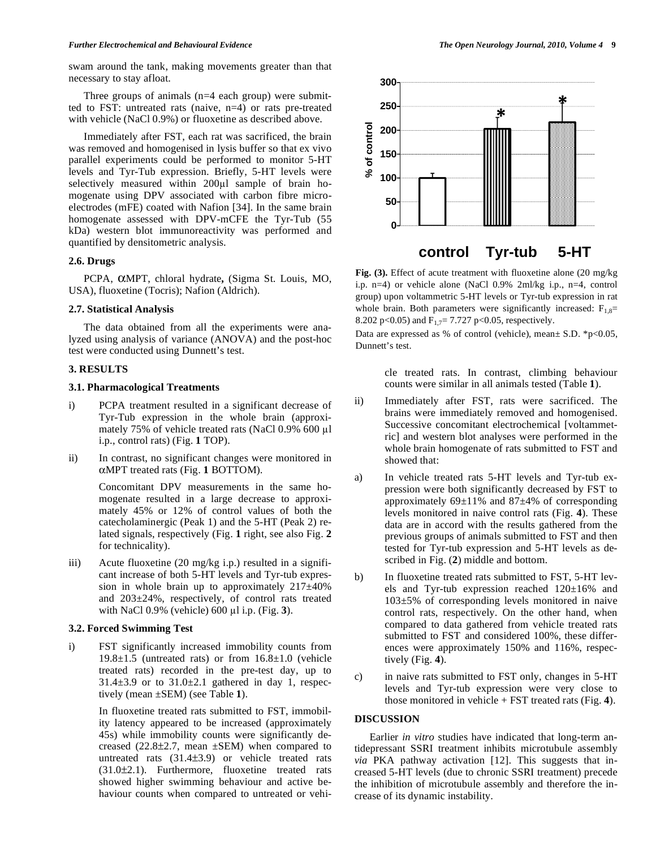swam around the tank, making movements greater than that necessary to stay afloat.

Three groups of animals  $(n=4 \text{ each group})$  were submitted to FST: untreated rats (naive, n=4) or rats pre-treated with vehicle (NaCl 0.9%) or fluoxetine as described above.

 Immediately after FST, each rat was sacrificed, the brain was removed and homogenised in lysis buffer so that ex vivo parallel experiments could be performed to monitor 5-HT levels and Tyr-Tub expression. Briefly, 5-HT levels were selectively measured within 200µl sample of brain homogenate using DPV associated with carbon fibre microelectrodes (mFE) coated with Nafion [34]. In the same brain homogenate assessed with DPV-mCFE the Tyr-Tub (55 kDa) western blot immunoreactivity was performed and quantified by densitometric analysis.

# **2.6. Drugs**

 PCPA, MPT, chloral hydrate**,** (Sigma St. Louis, MO, USA), fluoxetine (Tocris); Nafion (Aldrich).

# **2.7. Statistical Analysis**

 The data obtained from all the experiments were analyzed using analysis of variance (ANOVA) and the post-hoc test were conducted using Dunnett's test.

# **3. RESULTS**

# **3.1. Pharmacological Treatments**

- i) PCPA treatment resulted in a significant decrease of Tyr-Tub expression in the whole brain (approximately 75% of vehicle treated rats (NaCl  $0.9\%$  600 µl i.p., control rats) (Fig. **1** TOP).
- ii) In contrast, no significant changes were monitored in MPT treated rats (Fig. **1** BOTTOM).

 Concomitant DPV measurements in the same homogenate resulted in a large decrease to approximately 45% or 12% of control values of both the catecholaminergic (Peak 1) and the 5-HT (Peak 2) related signals, respectively (Fig. **1** right, see also Fig. **2** for technicality).

iii) Acute fluoxetine (20 mg/kg i.p.) resulted in a significant increase of both 5-HT levels and Tyr-tub expression in whole brain up to approximately 217±40% and 203±24%, respectively, of control rats treated with NaCl  $0.9\%$  (vehicle)  $600 \mu l$  i.p. (Fig. 3).

#### **3.2. Forced Swimming Test**

i) FST significantly increased immobility counts from  $19.8\pm1.5$  (untreated rats) or from  $16.8\pm1.0$  (vehicle treated rats) recorded in the pre-test day, up to  $31.4\pm3.9$  or to  $31.0\pm2.1$  gathered in day 1, respectively (mean ±SEM) (see Table **1**).

> In fluoxetine treated rats submitted to FST, immobility latency appeared to be increased (approximately 45s) while immobility counts were significantly decreased  $(22.8\pm 2.7, \text{ mean } \pm \text{SEM})$  when compared to untreated rats (31.4±3.9) or vehicle treated rats (31.0±2.1). Furthermore, fluoxetine treated rats showed higher swimming behaviour and active behaviour counts when compared to untreated or vehi-



**Fig. (3).** Effect of acute treatment with fluoxetine alone (20 mg/kg  **control Tyr-tub 5-HT**

i.p. n=4) or vehicle alone (NaCl 0.9% 2ml/kg i.p., n=4, control group) upon voltammetric 5-HT levels or Tyr-tub expression in rat whole brain. Both parameters were significantly increased:  $F_{1,8}=$ 8.202 p<0.05) and  $F_1 = 7.727$  p<0.05, respectively.

Data are expressed as % of control (vehicle), mean $\pm$  S.D.  $*$ p<0.05, Dunnett's test.

> cle treated rats. In contrast, climbing behaviour counts were similar in all animals tested (Table **1**).

- ii) Immediately after FST, rats were sacrificed. The brains were immediately removed and homogenised. Successive concomitant electrochemical [voltammetric] and western blot analyses were performed in the whole brain homogenate of rats submitted to FST and showed that:
- a) In vehicle treated rats 5-HT levels and Tyr-tub expression were both significantly decreased by FST to approximately  $69\pm11\%$  and  $87\pm4\%$  of corresponding levels monitored in naive control rats (Fig. **4**). These data are in accord with the results gathered from the previous groups of animals submitted to FST and then tested for Tyr-tub expression and 5-HT levels as described in Fig. (**2**) middle and bottom.
- b) In fluoxetine treated rats submitted to FST, 5-HT levels and Tyr-tub expression reached 120±16% and 103±5% of corresponding levels monitored in naive control rats, respectively. On the other hand, when compared to data gathered from vehicle treated rats submitted to FST and considered 100%, these differences were approximately 150% and 116%, respectively (Fig. **4**).
- c) in naive rats submitted to FST only, changes in 5-HT levels and Tyr-tub expression were very close to those monitored in vehicle + FST treated rats (Fig. **4**).

### **DISCUSSION**

 Earlier *in vitro* studies have indicated that long-term antidepressant SSRI treatment inhibits microtubule assembly *via* PKA pathway activation [12]. This suggests that increased 5-HT levels (due to chronic SSRI treatment) precede the inhibition of microtubule assembly and therefore the increase of its dynamic instability.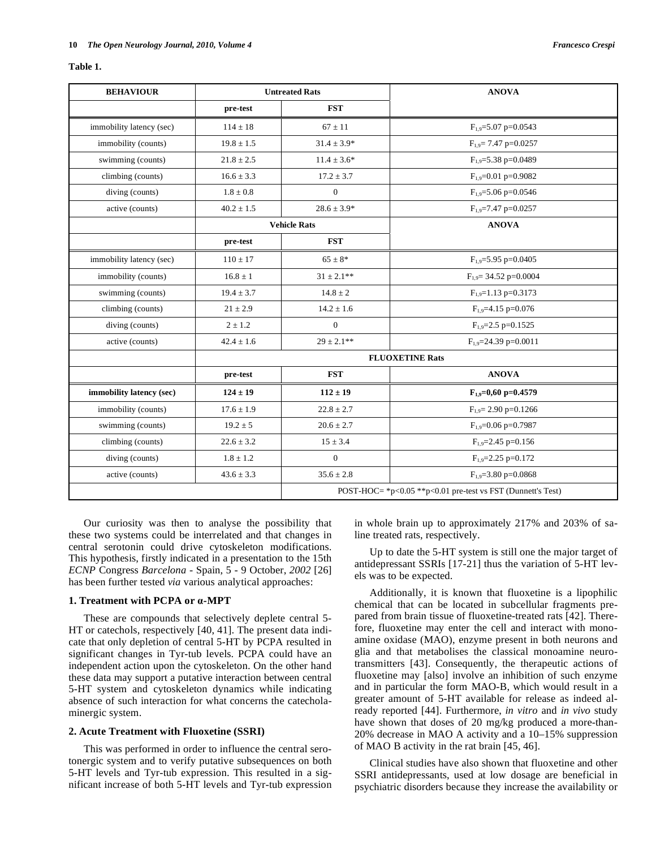| anı<br>к |  |
|----------|--|
|----------|--|

| <b>BEHAVIOUR</b>         | <b>Untreated Rats</b>  |                                                             | <b>ANOVA</b>                        |  |
|--------------------------|------------------------|-------------------------------------------------------------|-------------------------------------|--|
|                          | pre-test               | <b>FST</b>                                                  |                                     |  |
| immobility latency (sec) | $114 \pm 18$           | $67 \pm 11$                                                 | $F_{1,9} = 5.07$ p=0.0543           |  |
| immobility (counts)      | $19.8 \pm 1.5$         | $31.4 \pm 3.9*$                                             | $F_{1,9}$ = 7.47 p=0.0257           |  |
| swimming (counts)        | $21.8 \pm 2.5$         | $11.4 \pm 3.6*$                                             | $F_{1,9} = 5.38$ p=0.0489           |  |
| climbing (counts)        | $16.6 \pm 3.3$         | $17.2 \pm 3.7$                                              | $F_{1.9} = 0.01$ p=0.9082           |  |
| diving (counts)          | $1.8\pm0.8$            | $\mathbf{0}$                                                | $F_{1,9} = 5.06$ p=0.0546           |  |
| active (counts)          | $40.2 \pm 1.5$         | $28.6 \pm 3.9*$                                             | $F_{1,9}$ =7.47 p=0.0257            |  |
|                          | <b>Vehicle Rats</b>    |                                                             | <b>ANOVA</b>                        |  |
|                          | pre-test               | <b>FST</b>                                                  |                                     |  |
| immobility latency (sec) | $110 \pm 17$           | $65 \pm 8*$                                                 | $F_{1,9} = 5.95$ p=0.0405           |  |
| immobility (counts)      | $16.8 \pm 1$           | $31 \pm 2.1$ **                                             | $F_{1,9} = 34.52 p = 0.0004$        |  |
| swimming (counts)        | $19.4 \pm 3.7$         | $14.8 \pm 2$                                                | $F_{1.9} = 1.13$ p=0.3173           |  |
| climbing (counts)        | $21 \pm 2.9$           | $14.2 \pm 1.6$                                              | $F_{1.9} = 4.15$ p=0.076            |  |
| diving (counts)          | $2 \pm 1.2$            | $\Omega$                                                    | $F_{1.9} = 2.5$ p=0.1525            |  |
| active (counts)          | $42.4 \pm 1.6$         | $29 \pm 2.1$ **                                             | $F_{1,9} = 24.39$ p=0.0011          |  |
|                          | <b>FLUOXETINE Rats</b> |                                                             |                                     |  |
|                          | pre-test               | <b>FST</b>                                                  | <b>ANOVA</b>                        |  |
| immobility latency (sec) | $124 \pm 19$           | $112 \pm 19$                                                | $F_{1,9}=0,60$ p=0.4579             |  |
| immobility (counts)      | $17.6 \pm 1.9$         | $22.8 \pm 2.7$                                              | $F_{1.9} = 2.90 \text{ p} = 0.1266$ |  |
| swimming (counts)        | $19.2 \pm 5$           | $20.6 \pm 2.7$                                              | $F_{1.9} = 0.06$ p=0.7987           |  |
| climbing (counts)        | $22.6 \pm 3.2$         | $15 \pm 3.4$                                                | $F_{1.9} = 2.45$ p=0.156            |  |
| diving (counts)          | $1.8 \pm 1.2$          | $\boldsymbol{0}$                                            | $F_{1.9} = 2.25$ p=0.172            |  |
| active (counts)          | $43.6 \pm 3.3$         | $35.6 \pm 2.8$                                              | $F_{1.9} = 3.80$ p=0.0868           |  |
|                          |                        | POST-HOC= *p<0.05 **p<0.01 pre-test vs FST (Dunnett's Test) |                                     |  |

 Our curiosity was then to analyse the possibility that these two systems could be interrelated and that changes in central serotonin could drive cytoskeleton modifications. This hypothesis, firstly indicated in a presentation to the 15th *ECNP* Congress *Barcelona* - Spain, 5 - 9 October, *2002* [26] has been further tested *via* various analytical approaches:

# **1. Treatment with PCPA or -MPT**

 These are compounds that selectively deplete central 5- HT or catechols, respectively [40, 41]. The present data indicate that only depletion of central 5-HT by PCPA resulted in significant changes in Tyr-tub levels. PCPA could have an independent action upon the cytoskeleton. On the other hand these data may support a putative interaction between central 5-HT system and cytoskeleton dynamics while indicating absence of such interaction for what concerns the catecholaminergic system.

# **2. Acute Treatment with Fluoxetine (SSRI)**

 This was performed in order to influence the central serotonergic system and to verify putative subsequences on both 5-HT levels and Tyr-tub expression. This resulted in a significant increase of both 5-HT levels and Tyr-tub expression

in whole brain up to approximately 217% and 203% of saline treated rats, respectively.

 Up to date the 5-HT system is still one the major target of antidepressant SSRIs [17-21] thus the variation of 5-HT levels was to be expected.

 Additionally, it is known that fluoxetine is a lipophilic chemical that can be located in subcellular fragments prepared from brain tissue of fluoxetine-treated rats [42]. Therefore, fluoxetine may enter the cell and interact with monoamine oxidase (MAO), enzyme present in both neurons and glia and that metabolises the classical monoamine neurotransmitters [43]. Consequently, the therapeutic actions of fluoxetine may [also] involve an inhibition of such enzyme and in particular the form MAO-B, which would result in a greater amount of 5-HT available for release as indeed already reported [44]. Furthermore, *in vitro* and *in vivo* study have shown that doses of 20 mg/kg produced a more-than-20% decrease in MAO A activity and a 10–15% suppression of MAO B activity in the rat brain [45, 46].

 Clinical studies have also shown that fluoxetine and other SSRI antidepressants, used at low dosage are beneficial in psychiatric disorders because they increase the availability or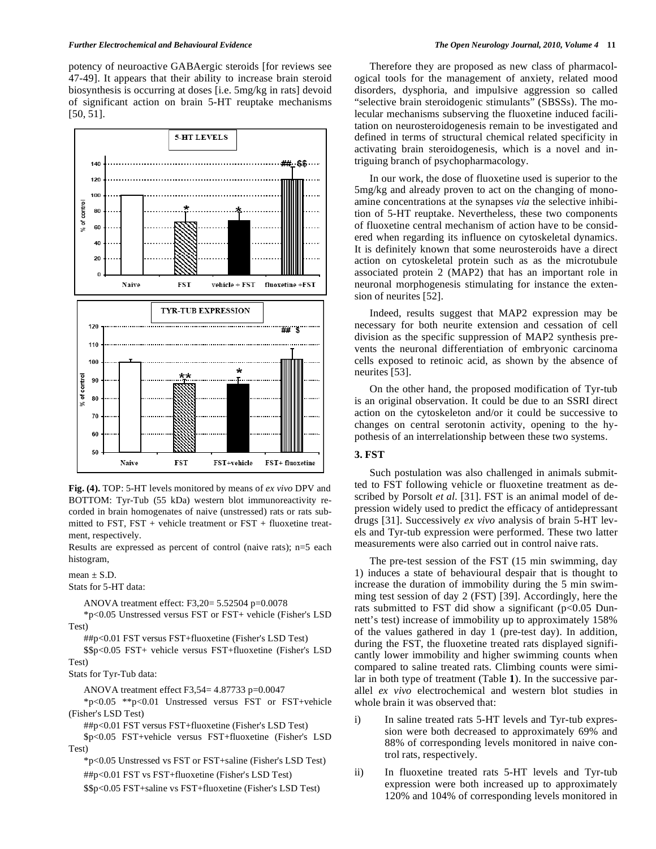potency of neuroactive GABAergic steroids [for reviews see 47-49]. It appears that their ability to increase brain steroid biosynthesis is occurring at doses [i.e. 5mg/kg in rats] devoid of significant action on brain 5-HT reuptake mechanisms [50, 51].



**Fig. (4).** TOP: 5-HT levels monitored by means of *ex vivo* DPV and BOTTOM: Tyr-Tub (55 kDa) western blot immunoreactivity recorded in brain homogenates of naive (unstressed) rats or rats submitted to FST,  $FST$  + vehicle treatment or  $FST$  + fluoxetine treatment, respectively.

Results are expressed as percent of control (naive rats); n=5 each histogram,

 $mean + S.D.$ 

Stats for 5-HT data:

ANOVA treatment effect: F3,20= 5.52504 p=0.0078

 \*p<0.05 Unstressed versus FST or FST+ vehicle (Fisher's LSD Test)

##p<0.01 FST versus FST+fluoxetine (Fisher's LSD Test)

 \$\$p<0.05 FST+ vehicle versus FST+fluoxetine (Fisher's LSD Test)

Stats for Tyr-Tub data:

ANOVA treatment effect F3,54= 4.87733 p=0.0047

 \*p<0.05 \*\*p<0.01 Unstressed versus FST or FST+vehicle (Fisher's LSD Test)

##p<0.01 FST versus FST+fluoxetine (Fisher's LSD Test)

 \$p<0.05 FST+vehicle versus FST+fluoxetine (Fisher's LSD Test)

\*p<0.05 Unstressed vs FST or FST+saline (Fisher's LSD Test)

##p<0.01 FST vs FST+fluoxetine (Fisher's LSD Test)

\$\$p<0.05 FST+saline vs FST+fluoxetine (Fisher's LSD Test)

 Therefore they are proposed as new class of pharmacological tools for the management of anxiety, related mood disorders, dysphoria, and impulsive aggression so called "selective brain steroidogenic stimulants" (SBSSs). The molecular mechanisms subserving the fluoxetine induced facilitation on neurosteroidogenesis remain to be investigated and defined in terms of structural chemical related specificity in activating brain steroidogenesis, which is a novel and intriguing branch of psychopharmacology.

 In our work, the dose of fluoxetine used is superior to the 5mg/kg and already proven to act on the changing of monoamine concentrations at the synapses *via* the selective inhibition of 5-HT reuptake. Nevertheless, these two components of fluoxetine central mechanism of action have to be considered when regarding its influence on cytoskeletal dynamics. It is definitely known that some neurosteroids have a direct action on cytoskeletal protein such as as the microtubule associated protein 2 (MAP2) that has an important role in neuronal morphogenesis stimulating for instance the extension of neurites [52].

 Indeed, results suggest that MAP2 expression may be necessary for both neurite extension and cessation of cell division as the specific suppression of MAP2 synthesis prevents the neuronal differentiation of embryonic carcinoma cells exposed to retinoic acid, as shown by the absence of neurites [53].

 On the other hand, the proposed modification of Tyr-tub is an original observation. It could be due to an SSRI direct action on the cytoskeleton and/or it could be successive to changes on central serotonin activity, opening to the hypothesis of an interrelationship between these two systems.

# **3. FST**

 Such postulation was also challenged in animals submitted to FST following vehicle or fluoxetine treatment as described by Porsolt *et al.* [31]. FST is an animal model of depression widely used to predict the efficacy of antidepressant drugs [31]. Successively *ex vivo* analysis of brain 5-HT levels and Tyr-tub expression were performed. These two latter measurements were also carried out in control naive rats.

 The pre-test session of the FST (15 min swimming, day 1) induces a state of behavioural despair that is thought to increase the duration of immobility during the 5 min swimming test session of day 2 (FST) [39]. Accordingly, here the rats submitted to FST did show a significant (p<0.05 Dunnett's test) increase of immobility up to approximately 158% of the values gathered in day 1 (pre-test day). In addition, during the FST, the fluoxetine treated rats displayed significantly lower immobility and higher swimming counts when compared to saline treated rats. Climbing counts were similar in both type of treatment (Table **1**). In the successive parallel *ex vivo* electrochemical and western blot studies in whole brain it was observed that:

- i) In saline treated rats 5-HT levels and Tyr-tub expression were both decreased to approximately 69% and 88% of corresponding levels monitored in naive control rats, respectively.
- ii) In fluoxetine treated rats 5-HT levels and Tyr-tub expression were both increased up to approximately 120% and 104% of corresponding levels monitored in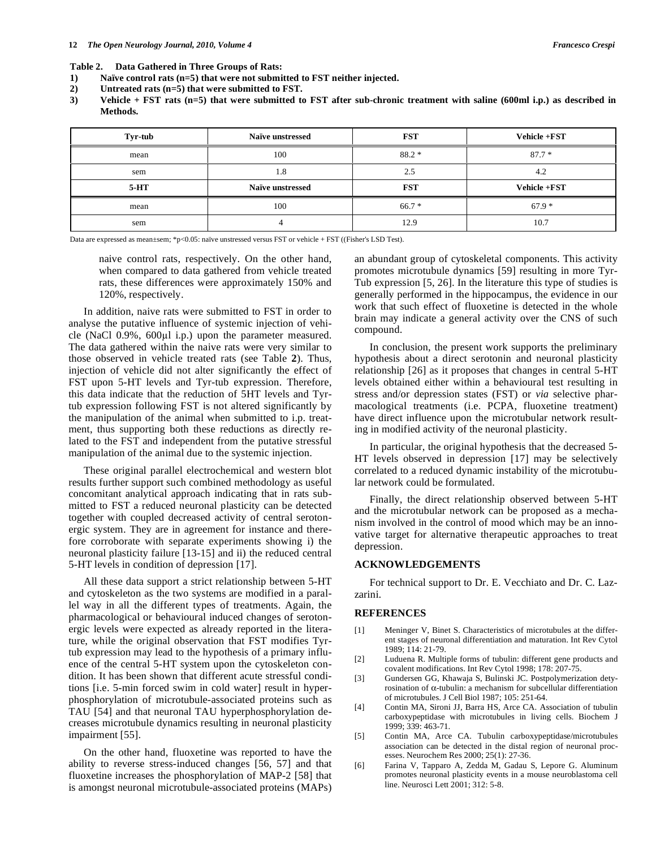#### **Table 2. Data Gathered in Three Groups of Rats:**

- **1) Naïve control rats (n=5) that were not submitted to FST neither injected.**
- **2) Untreated rats (n=5) that were submitted to FST.**
- **3) Vehicle + FST rats (n=5) that were submitted to FST after sub-chronic treatment with saline (600ml i.p.) as described in Methods.**

| Tyr-tub | <b>Naïve unstressed</b> | <b>FST</b> | Vehicle +FST        |
|---------|-------------------------|------------|---------------------|
| mean    | 100                     | $88.2*$    | $87.7*$             |
| sem     | 1.8                     | 2.5        | 4.2                 |
| $5-HT$  | <b>Naïve unstressed</b> | <b>FST</b> | <b>Vehicle +FST</b> |
| mean    | 100                     | $66.7*$    | $67.9*$             |
| sem     | $\sqrt{2}$              | 12.9       | 10.7                |

Data are expressed as mean±sem; \*p<0.05: naïve unstressed versus FST or vehicle + FST ((Fisher's LSD Test).

naive control rats, respectively. On the other hand, when compared to data gathered from vehicle treated rats, these differences were approximately 150% and 120%, respectively.

 In addition, naive rats were submitted to FST in order to analyse the putative influence of systemic injection of vehicle (NaCl  $0.9\%$ ,  $600\mu l$  i.p.) upon the parameter measured. The data gathered within the naive rats were very similar to those observed in vehicle treated rats (see Table **2**). Thus, injection of vehicle did not alter significantly the effect of FST upon 5-HT levels and Tyr-tub expression. Therefore, this data indicate that the reduction of 5HT levels and Tyrtub expression following FST is not altered significantly by the manipulation of the animal when submitted to i.p. treatment, thus supporting both these reductions as directly related to the FST and independent from the putative stressful manipulation of the animal due to the systemic injection.

 These original parallel electrochemical and western blot results further support such combined methodology as useful concomitant analytical approach indicating that in rats submitted to FST a reduced neuronal plasticity can be detected together with coupled decreased activity of central serotonergic system. They are in agreement for instance and therefore corroborate with separate experiments showing i) the neuronal plasticity failure [13-15] and ii) the reduced central 5-HT levels in condition of depression [17].

 All these data support a strict relationship between 5-HT and cytoskeleton as the two systems are modified in a parallel way in all the different types of treatments. Again, the pharmacological or behavioural induced changes of serotonergic levels were expected as already reported in the literature, while the original observation that FST modifies Tyrtub expression may lead to the hypothesis of a primary influence of the central 5-HT system upon the cytoskeleton condition. It has been shown that different acute stressful conditions [i.e. 5-min forced swim in cold water] result in hyperphosphorylation of microtubule-associated proteins such as TAU [54] and that neuronal TAU hyperphosphorylation decreases microtubule dynamics resulting in neuronal plasticity impairment [55].

 On the other hand, fluoxetine was reported to have the ability to reverse stress-induced changes [56, 57] and that fluoxetine increases the phosphorylation of MAP-2 [58] that is amongst neuronal microtubule-associated proteins (MAPs) an abundant group of cytoskeletal components. This activity promotes microtubule dynamics [59] resulting in more Tyr-Tub expression [5, 26]. In the literature this type of studies is generally performed in the hippocampus, the evidence in our work that such effect of fluoxetine is detected in the whole brain may indicate a general activity over the CNS of such compound.

 In conclusion, the present work supports the preliminary hypothesis about a direct serotonin and neuronal plasticity relationship [26] as it proposes that changes in central 5-HT levels obtained either within a behavioural test resulting in stress and/or depression states (FST) or *via* selective pharmacological treatments (i.e. PCPA, fluoxetine treatment) have direct influence upon the microtubular network resulting in modified activity of the neuronal plasticity.

 In particular, the original hypothesis that the decreased 5- HT levels observed in depression [17] may be selectively correlated to a reduced dynamic instability of the microtubular network could be formulated.

 Finally, the direct relationship observed between 5-HT and the microtubular network can be proposed as a mechanism involved in the control of mood which may be an innovative target for alternative therapeutic approaches to treat depression.

# **ACKNOWLEDGEMENTS**

 For technical support to Dr. E. Vecchiato and Dr. C. Lazzarini.

#### **REFERENCES**

- [1] Meninger V, Binet S. Characteristics of microtubules at the different stages of neuronal differentiation and maturation. Int Rev Cytol 1989; 114: 21-79.
- [2] Luduena R. Multiple forms of tubulin: different gene products and covalent modifications. Int Rev Cytol 1998; 178: 207-75.
- [3] Gundersen GG, Khawaja S, Bulinski JC. Postpolymerization detyrosination of  $\alpha$ -tubulin: a mechanism for subcellular differentiation of microtubules. J Cell Biol 1987; 105: 251-64.
- [4] Contin MA, Sironi JJ, Barra HS, Arce CA. Association of tubulin carboxypeptidase with microtubules in living cells. Biochem J 1999; 339: 463-71.
- [5] Contin MA, Arce CA. Tubulin carboxypeptidase/microtubules association can be detected in the distal region of neuronal processes. Neurochem Res 2000; 25(1): 27-36.
- [6] Farina V, Tapparo A, Zedda M, Gadau S, Lepore G. Aluminum promotes neuronal plasticity events in a mouse neuroblastoma cell line. Neurosci Lett 2001; 312: 5-8.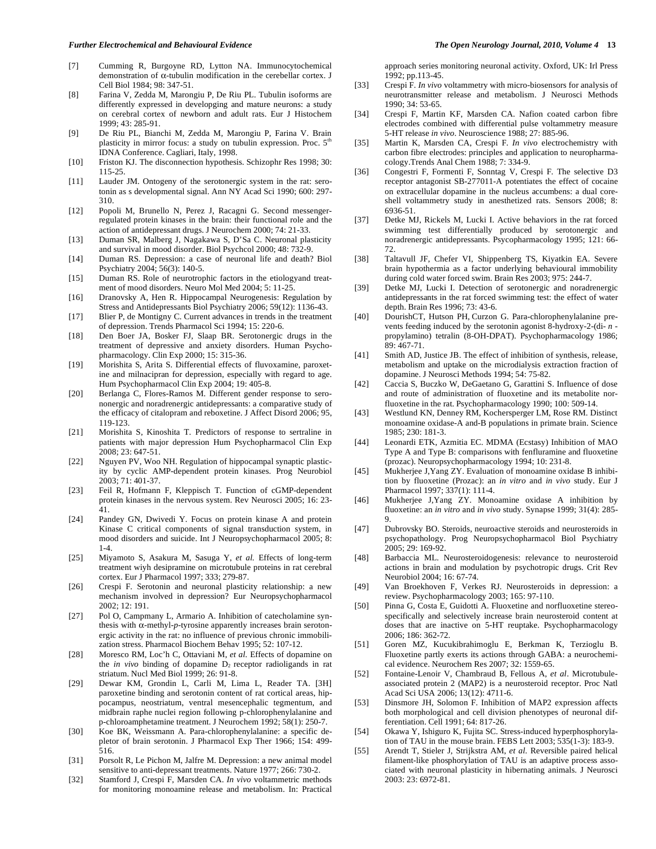- [7] Cumming R, Burgoyne RD, Lytton NA. Immunocytochemical demonstration of  $\alpha$ -tubulin modification in the cerebellar cortex. J Cell Biol 1984; 98: 347-51.
- [8] Farina V, Zedda M, Marongiu P, De Riu PL. Tubulin isoforms are differently expressed in developging and mature neurons: a study on cerebral cortex of newborn and adult rats. Eur J Histochem 1999; 43: 285-91.
- [9] De Riu PL, Bianchi M, Zedda M, Marongiu P, Farina V. Brain plasticity in mirror focus: a study on tubulin expression. Proc.  $5<sup>th</sup>$ IDNA Conference. Cagliari, Italy, 1998.
- [10] Friston KJ. The disconnection hypothesis. Schizophr Res 1998; 30: 115-25.
- [11] Lauder JM. Ontogeny of the serotonergic system in the rat: serotonin as s developmental signal. Ann NY Acad Sci 1990; 600: 297- 310.
- [12] Popoli M, Brunello N, Perez J, Racagni G. Second messengerregulated protein kinases in the brain: their functional role and the action of antidepressant drugs. J Neurochem 2000; 74: 21-33.
- [13] Duman SR, Malberg J, Nagakawa S, D'Sa C. Neuronal plasticity and survival in mood disorder. Biol Psychcol 2000; 48: 732-9.
- [14] Duman RS. Depression: a case of neuronal life and death? Biol Psychiatry 2004; 56(3): 140-5.
- [15] Duman RS. Role of neurotrophic factors in the etiologyand treatment of mood disorders. Neuro Mol Med 2004; 5: 11-25.
- [16] Dranovsky A, Hen R. Hippocampal Neurogenesis: Regulation by Stress and Antidepressants Biol Psychiatry 2006; 59(12): 1136-43.
- [17] Blier P, de Montigny C. Current advances in trends in the treatment of depression. Trends Pharmacol Sci 1994; 15: 220-6.
- [18] Den Boer JA, Bosker FJ, Slaap BR. Serotonergic drugs in the treatment of depressive and anxiety disorders. Human Psychopharmacology. Clin Exp 2000; 15: 315-36.
- [19] Morishita S, Arita S. Differential effects of fluvoxamine, paroxetine and milnacipran for depression, especially with regard to age. Hum Psychopharmacol Clin Exp 2004; 19: 405-8.
- [20] Berlanga C, Flores-Ramos M. Different gender response to serononergic and noradrenergic antidepressants: a comparative study of the efficacy of citalopram and reboxetine. J Affect Disord 2006; 95, 119-123.
- [21] Morishita S, Kinoshita T. Predictors of response to sertraline in patients with major depression Hum Psychopharmacol Clin Exp 2008; 23: 647-51.
- [22] Nguyen PV, Woo NH. Regulation of hippocampal synaptic plasticity by cyclic AMP-dependent protein kinases. Prog Neurobiol 2003; 71: 401-37.
- [23] Feil R, Hofmann F, Kleppisch T. Function of cGMP-dependent protein kinases in the nervous system. Rev Neurosci 2005; 16: 23- 41.
- [24] Pandey GN, Dwivedi Y. Focus on protein kinase A and protein Kinase C critical components of signal transduction system, in mood disorders and suicide. Int J Neuropsychopharmacol 2005; 8: 1-4.
- [25] Miyamoto S, Asakura M, Sasuga Y, *et al.* Effects of long-term treatment wiyh desipramine on microtubule proteins in rat cerebral cortex. Eur J Pharmacol 1997; 333; 279-87.
- [26] Crespi F. Serotonin and neuronal plasticity relationship: a new mechanism involved in depression? Eur Neuropsychopharmacol 2002; 12: 191.
- [27] Pol O, Campmany L, Armario A. Inhibition of catecholamine synthesis with  $\alpha$ -methyl-*p*-tyrosine apparently increases brain serotonergic activity in the rat: no influence of previous chronic immobilization stress. Pharmacol Biochem Behav 1995; 52: 107-12.
- [28] Moresco RM, Loc'h C, Ottaviani M, *et al*. Effects of dopamine on the *in vivo* binding of dopamine  $D_2$  receptor radioligands in rat striatum. Nucl Med Biol 1999; 26: 91-8.
- [29] Dewar KM, Grondin L, Carli M, Lima L, Reader TA. [3H] paroxetine binding and serotonin content of rat cortical areas, hippocampus, neostriatum, ventral mesencephalic tegmentum, and midbrain raphe nuclei region following p-chlorophenylalanine and p-chloroamphetamine treatment. J Neurochem 1992; 58(1): 250-7.
- [30] Koe BK, Weissmann A. Para-chlorophenylalanine: a specific depletor of brain serotonin. J Pharmacol Exp Ther 1966; 154: 499- 516.
- [31] Porsolt R, Le Pichon M, Jalfre M. Depression: a new animal model sensitive to anti-depressant treatments. Nature 1977; 266: 730-2.
- [32] Stamford J, Crespi F, Marsden CA. *In vivo* voltammetric methods for monitoring monoamine release and metabolism. In: Practical

approach series monitoring neuronal activity. Oxford, UK: Irl Press 1992; pp.113-45.

- [33] Crespi F. *In vivo* voltammetry with micro-biosensors for analysis of neurotransmitter release and metabolism. J Neurosci Methods 1990; 34: 53-65.
- [34] Crespi F, Martin KF, Marsden CA. Nafion coated carbon fibre electrodes combined with differential pulse voltammetry measure 5-HT release *in vivo*. Neuroscience 1988; 27: 885-96.
- [35] Martin K, Marsden CA, Crespi F. *In vivo* electrochemistry with carbon fibre electrodes: principles and application to neuropharmacology.Trends Anal Chem 1988; 7: 334-9.
- [36] Congestri F, Formenti F, Sonntag V, Crespi F*.* The selective D3 receptor antagonist SB-277011-A potentiates the effect of cocaine on extracellular dopamine in the nucleus accumbens: a dual coreshell voltammetry study in anesthetized rats. Sensors 2008; 8: 6936-51.
- [37] Detke MJ, Rickels M, Lucki I. Active behaviors in the rat forced swimming test differentially produced by serotonergic and noradrenergic antidepressants. Psycopharmacology 1995; 121: 66- 72.
- [38] Taltavull JF, Chefer VI, Shippenberg TS, Kiyatkin EA. Severe brain hypothermia as a factor underlying behavioural immobility during cold water forced swim. Brain Res 2003; 975: 244-7.
- [39] Detke MJ, Lucki I. Detection of serotonergic and noradrenergic antidepressants in the rat forced swimming test: the effect of water depth. Brain Res 1996; 73: 43-6.
- [40] DourishCT, Hutson PH, Curzon G. Para-chlorophenylalanine prevents feeding induced by the serotonin agonist 8-hydroxy-2-(di- *n* propylamino) tetralin (8-OH-DPAT). Psychopharmacology 1986; 89: 467-71.
- [41] Smith AD, Justice JB. The effect of inhibition of synthesis, release, metabolism and uptake on the microdialysis extraction fraction of dopamine. J Neurosci Methods 1994; 54: 75-82.
- [42] Caccia S, Buczko W, DeGaetano G, Garattini S. Influence of dose and route of administration of fluoxetine and its metabolite norfluoxetine in the rat. Psychopharmacology 1990; 100: 509-14.
- [43] Westlund KN, Denney RM, Kochersperger LM, Rose RM. Distinct monoamine oxidase-A and-B populations in primate brain. Science 1985; 230: 181-3.
- [44] Leonardi ETK, Azmitia EC. MDMA (Ecstasy) Inhibition of MAO Type A and Type B: comparisons with fenfluramine and fluoxetine (prozac). Neuropsychopharmacology 1994; 10: 231-8.
- [45] Mukherjee J,Yang ZY. Evaluation of monoamine oxidase B inhibition by fluoxetine (Prozac): an *in vitro* and *in vivo* study. Eur J Pharmacol 1997; 337(1): 111-4.
- [46] Mukherjee J,Yang ZY. Monoamine oxidase A inhibition by fluoxetine: an *in vitro* and *in vivo* study. Synapse 1999; 31(4): 285- 9.
- [47] Dubrovsky BO. Steroids, neuroactive steroids and neurosteroids in psychopathology. Prog Neuropsychopharmacol Biol Psychiatry 2005; 29: 169-92.
- [48] Barbaccia ML. Neurosteroidogenesis: relevance to neurosteroid actions in brain and modulation by psychotropic drugs. Crit Rev Neurobiol 2004; 16: 67-74.
- [49] Van Broekhoven F, Verkes RJ. Neurosteroids in depression: a review. Psychopharmacology 2003; 165: 97-110.
- [50] Pinna G, Costa E, Guidotti A. Fluoxetine and norfluoxetine stereospecifically and selectively increase brain neurosteroid content at doses that are inactive on 5-HT reuptake. Psychopharmacology 2006; 186: 362-72.
- [51] Goren MZ, Kucukibrahimoglu E, Berkman K, Terzioglu B. Fluoxetine partly exerts its actions through GABA: a neurochemical evidence. Neurochem Res 2007; 32: 1559-65.
- [52] Fontaine-Lenoir V, Chambraud B, Fellous A, *et al*. Microtubuleassociated protein 2 (MAP2) is a neurosteroid receptor. Proc Natl Acad Sci USA 2006; 13(12): 4711-6.
- [53] Dinsmore JH, Solomon F. Inhibition of MAP2 expression affects both morphological and cell division phenotypes of neuronal differentiation. Cell 1991; 64: 817-26.
- [54] Okawa Y, Ishiguro K, Fujita SC. Stress-induced hyperphosphorylation of TAU in the mouse brain. FEBS Lett 2003; 535(1-3): 183-9.
- [55] Arendt T, Stieler J, Strijkstra AM, *et al*. Reversible paired helical filament-like phosphorylation of TAU is an adaptive process associated with neuronal plasticity in hibernating animals. J Neurosci 2003: 23: 6972-81.